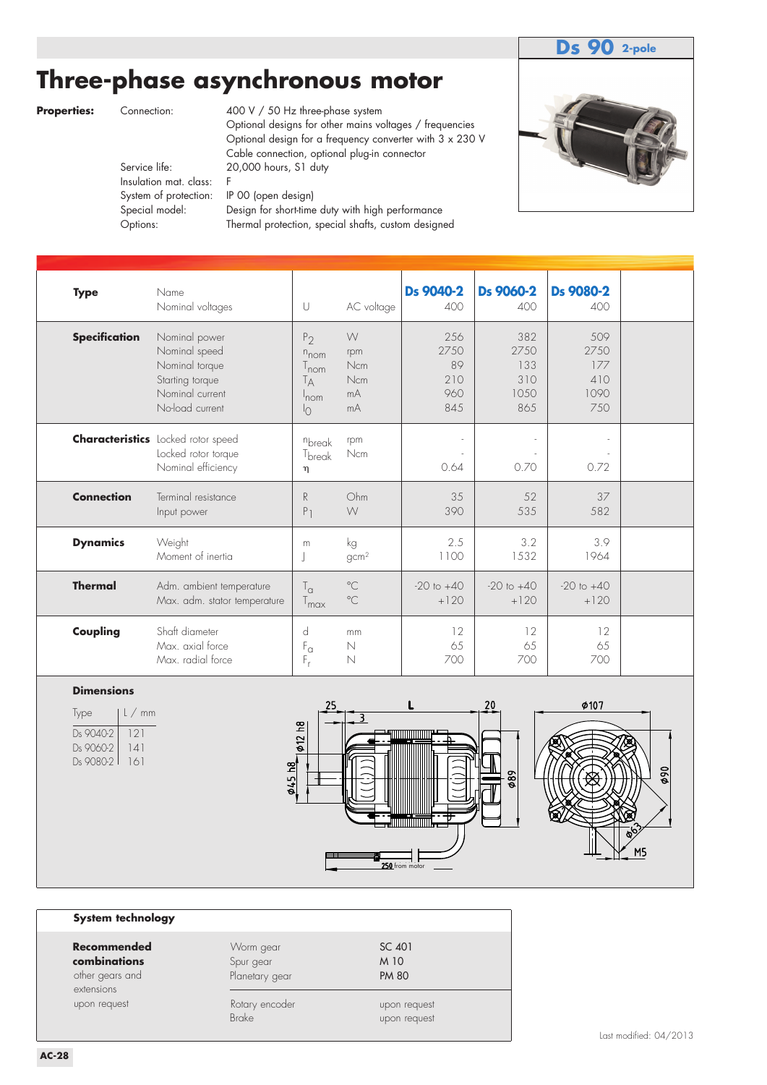## **Ds 90 2-pole**

# **Three-phase asynchronous motor**

Options: Thermal protection, special shafts, custom designed

**Properties:** Connection: 400 V / 50 Hz three-phase system Optional designs for other mains voltages / frequencies Optional design for a frequency converter with 3 x 230 V Cable connection, optional plug-in connector<br>Service life: 20.000 hours. S1 duty 20,000 hours, S1 duty Insulation mat. class: F System of protection: IP 00 (open design) Special model: Design for short-time duty with high performance



| <b>Type</b>          | Name<br>Nominal voltages                                                                                  | U                                                                                                     | AC voltage                         | Ds 9040-2<br>400                       | Ds 9060-2<br>400                          | Ds 9080-2<br>400                         |  |
|----------------------|-----------------------------------------------------------------------------------------------------------|-------------------------------------------------------------------------------------------------------|------------------------------------|----------------------------------------|-------------------------------------------|------------------------------------------|--|
| <b>Specification</b> | Nominal power<br>Nominal speed<br>Nominal torque<br>Starting torque<br>Nominal current<br>No-load current | P <sub>2</sub><br>$n_{\text{nom}}$<br>T <sub>nom</sub><br>T <sub>А</sub><br>$ln$ cm<br>$\overline{1}$ | W<br>rpm<br>Ncm<br>Ncm<br>mA<br>mA | 256<br>2750<br>89<br>210<br>960<br>845 | 382<br>2750<br>133<br>310<br>10.50<br>865 | 509<br>2750<br>177<br>410<br>1090<br>750 |  |
|                      | <b>Characteristics</b> Locked rotor speed<br>Locked rotor torque<br>Nominal efficiency                    | nbreak<br>$T_{break}$<br>η                                                                            | rpm<br>Ncm                         | 0.64                                   | 0.70                                      | 0.72                                     |  |
| <b>Connection</b>    | Terminal resistance<br>Input power                                                                        | R<br>P <sub>1</sub>                                                                                   | Ohm<br>W                           | 35<br>390                              | 52<br>535                                 | 37<br>582                                |  |
| <b>Dynamics</b>      | Weight<br>Moment of inertia                                                                               | m<br>J                                                                                                | kg<br>gcm <sup>2</sup>             | 2.5<br>1100                            | 3.2<br>1532                               | 3.9<br>1964                              |  |
| <b>Thermal</b>       | Adm. ambient temperature<br>Max. adm. stator temperature                                                  | $T_{\alpha}$<br>$T_{\text{max}}$                                                                      | $^{\circ}$ C<br>$^{\circ}$ C       | $-20$ to $+40$<br>$+120$               | $-20$ to $+40$<br>$+120$                  | $-20$ to $+40$<br>$+120$                 |  |
| Coupling             | Shaft diameter<br>Max. axial force<br>Max. radial force                                                   | d<br>$\mathsf{F}_{\alpha}$<br>F,                                                                      | mm<br>$\mathbb N$<br>N             | 12<br>65<br>700                        | 12<br>65<br>700                           | 12<br>65<br>700                          |  |

### **Dimensions**

| lype      | l / mm |
|-----------|--------|
| Ds 9040-2 | 121    |
| Ds 9060-2 | 141    |
| Ds 9080-2 | 161    |
|           |        |



### **System technology**

| Recommended<br>combinations<br>other gears and<br>extensions | Worm gear<br>Spur gear<br>Planetary gear | SC 401<br>M 10<br><b>PM 80</b> |
|--------------------------------------------------------------|------------------------------------------|--------------------------------|
| upon request                                                 | Rotary encoder<br><b>Brake</b>           | upon request<br>upon request   |